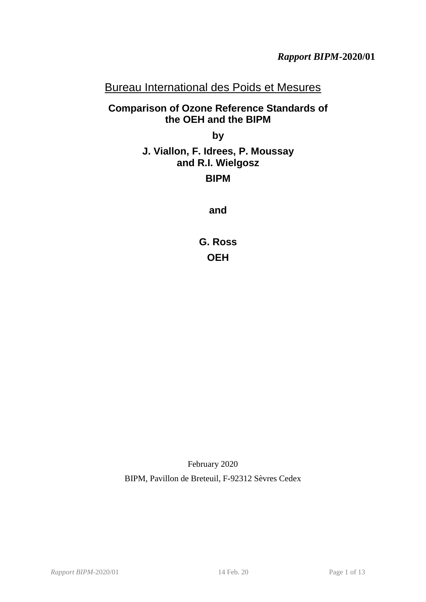# Bureau International des Poids et Mesures

# **Comparison of Ozone Reference Standards of the OEH and the BIPM**

**by**

# <span id="page-0-0"></span>**J. Viallon, F. Idrees, P. Moussay and R.I. Wielgosz**

# **BIPM**

**and**

**G. Ross OEH**

February 2020 BIPM, Pavillon de Breteuil, F-92312 Sèvres Cedex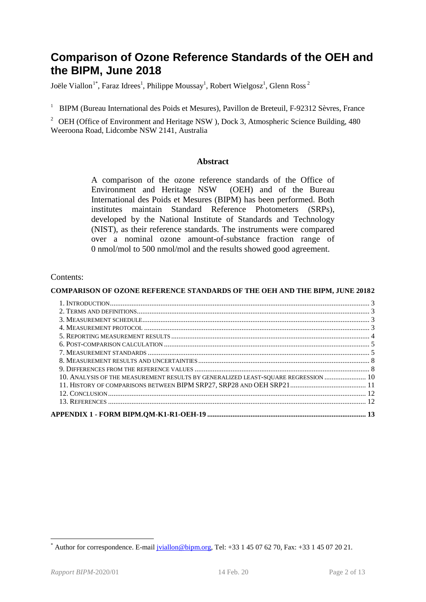# **Comparison of Ozone Reference Standards of the OEH and the BIPM, June 2018**

Joële Viallon $^{1*}$  $^{1*}$  $^{1*}$ , Faraz Idrees $^1$ , Philippe Moussay $^1$ , Robert Wielgosz $^1$ , Glenn Ross $^2$ 

<sup>1</sup> BIPM (Bureau International des Poids et Mesures), Pavillon de Breteuil, F-92312 Sèvres, France

<span id="page-1-0"></span><sup>2</sup> [OEH](#page-0-0) (Office of Environment and Heritage NSW), Dock 3, Atmospheric Science Building,  $480$ Weeroona Road, Lidcombe NSW 2141, Australia

#### **Abstract**

A comparison of the ozone reference standards of the [Office of](#page-1-0)  [Environment and Heritage NSW](#page-1-0) [\(OEH\)](#page-0-0) and of the Bureau International des Poids et Mesures (BIPM) has been performed. Both institutes maintain Standard Reference Photometers (SRPs), developed by the National Institute of Standards and Technology (NIST), as their reference standards. The instruments were compared over a nominal ozone amount-of-substance fraction range of 0 nmol/mol to 500 nmol/mol and the results showed good agreement.

#### Contents:

#### **COMPARISON OF OZONE REFERENCE STANDARDS OF THE OEH AND THE BIPM, JUNE 20182**

| 10. ANALYSIS OF THE MEASUREMENT RESULTS BY GENERALIZED LEAST-SQUARE REGRESSION  10 |  |
|------------------------------------------------------------------------------------|--|
|                                                                                    |  |
|                                                                                    |  |
|                                                                                    |  |
|                                                                                    |  |
|                                                                                    |  |

<span id="page-1-1"></span>Author for correspondence. E-mail [jviallon@bipm.org,](mailto:jviallon@bipm.org) Tel: +33 1 45 07 62 70, Fax: +33 1 45 07 20 21.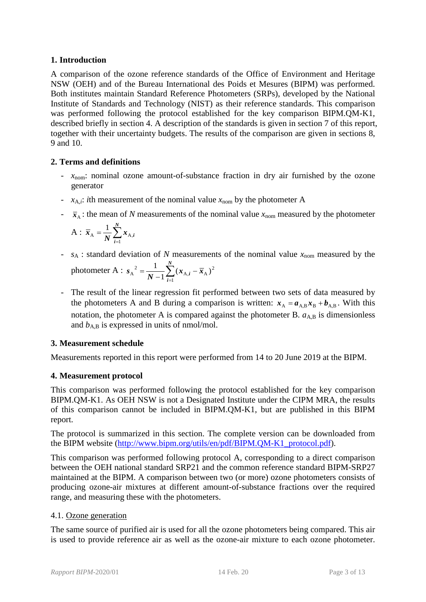#### **1. Introduction**

A comparison of the ozone reference standards of the Office of Environment and Heritage NSW (OEH) and of the Bureau International des Poids et Mesures (BIPM) was performed. Both institutes maintain Standard Reference Photometers (SRPs), developed by the National Institute of Standards and Technology (NIST) as their reference standards. This comparison was performed following the protocol established for the key comparison BIPM.QM-K1, described briefly in section [4.](#page-2-0) A description of the standards is given in section [7](#page-4-0) of this report, together with their uncertainty budgets. The results of the comparison are given in sections [8,](#page-7-0) [9](#page-7-1) and [10.](#page-9-0)

## **2. Terms and definitions**

- *x*<sub>nom</sub>: nominal ozone amount-of-substance fraction in dry air furnished by the ozone generator
- $x_{A,i}$ : *i*th measurement of the nominal value  $x_{\text{nom}}$  by the photometer A
- $\bar{x}_A$ : the mean of *N* measurements of the nominal value  $x_{\text{nom}}$  measured by the photometer

$$
A: \ \overline{x}_A = \frac{1}{N} \sum_{i=1}^N x_{A,i}
$$

- $s_A$ : standard deviation of *N* measurements of the nominal value  $x_{\text{nom}}$  measured by the photometer A :  $s_A^2 = \frac{1}{N-1} \sum_{i=1}^N (x_{A,i} -$ *N i*  $\frac{1}{N-1} \sum_{i=1}^{N} (x_{A,i} - \bar{x})$ *s* 1  $_{A,i}$  –  $\overline{x}_{A}$ )<sup>2</sup>  $A^{2} = \frac{1}{N-1} \sum_{i=1}^{N} (x_{A,i} - \overline{x}_{A})$
- The result of the linear regression fit performed between two sets of data measured by the photometers A and B during a comparison is written:  $x_A = a_{A,B} x_B + b_{A,B}$ . With this notation, the photometer A is compared against the photometer B.  $a_{A,B}$  is dimensionless and  $b_{A,B}$  is expressed in units of nmol/mol.

## **3. Measurement schedule**

Measurements reported in this report were performed from 14 to 20 June 2019 at the BIPM.

# <span id="page-2-0"></span>**4. Measurement protocol**

This comparison was performed following the protocol established for the key comparison BIPM.QM-K1. As OEH NSW is not a Designated Institute under the CIPM MRA, the results of this comparison cannot be included in BIPM.QM-K1, but are published in this BIPM report.

The protocol is summarized in this section. The complete version can be downloaded from the BIPM website [\(http://www.bipm.org/utils/en/pdf/BIPM.QM-K1\\_protocol.pdf\)](http://www.bipm.org/utils/en/pdf/BIPM.QM-K1_protocol.pdf).

<span id="page-2-1"></span>This comparison was performed following protocol A, corresponding to a direct comparison between the [OEH](#page-0-0) national standard SRP21 and the common reference standard BIPM-SRP27 maintained at the BIPM. A comparison between two (or more) ozone photometers consists of producing ozone-air mixtures at different amount-of-substance fractions over the required range, and measuring these with the photometers.

## 4.1. Ozone generation

The same source of purified air is used for all the ozone photometers being compared. This air is used to provide reference air as well as the ozone-air mixture to each ozone photometer.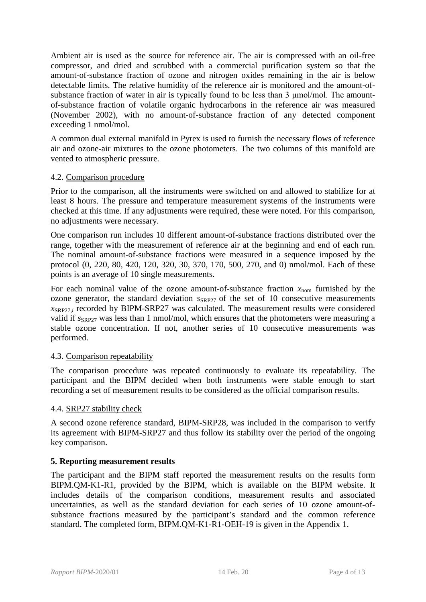Ambient air is used as the source for reference air. The air is compressed with an oil-free compressor, and dried and scrubbed with a commercial purification system so that the amount-of-substance fraction of ozone and nitrogen oxides remaining in the air is below detectable limits. The relative humidity of the reference air is monitored and the amount-ofsubstance fraction of water in air is typically found to be less than 3 μmol/mol. The amountof-substance fraction of volatile organic hydrocarbons in the reference air was measured (November 2002), with no amount-of-substance fraction of any detected component exceeding 1 nmol/mol.

A common dual external manifold in Pyrex is used to furnish the necessary flows of reference air and ozone-air mixtures to the ozone photometers. The two columns of this manifold are vented to atmospheric pressure.

#### 4.2. Comparison procedure

Prior to the comparison, all the instruments were switched on and allowed to stabilize for at least 8 hours. The pressure and temperature measurement systems of the instruments were checked at this time. If any adjustments were required, these were noted. For this comparison, no adjustments were necessary.

One comparison run includes 10 different amount-of-substance fractions distributed over the range, together with the measurement of reference air at the beginning and end of each run. The nominal amount-of-substance fractions were measured in a sequence imposed by the protocol (0, 220, 80, 420, 120, 320, 30, 370, 170, 500, 270, and 0) nmol/mol. Each of these points is an average of 10 single measurements.

For each nominal value of the ozone amount-of-substance fraction  $x_{\text{nom}}$  furnished by the ozone generator, the standard deviation  $S_{SRP27}$  of the set of 10 consecutive measurements  $x_{SRP27i}$  recorded by BIPM-SRP27 was calculated. The measurement results were considered valid if  $S_{\text{SRP27}}$  was less than 1 nmol/mol, which ensures that the photometers were measuring a stable ozone concentration. If not, another series of 10 consecutive measurements was performed.

#### 4.3. Comparison repeatability

The comparison procedure was repeated continuously to evaluate its repeatability. The participant and the BIPM decided when both instruments were stable enough to start recording a set of measurement results to be considered as the official comparison results.

#### 4.4. SRP27 stability check

A second ozone reference standard, BIPM-SRP28, was included in the comparison to verify its agreement with BIPM-SRP27 and thus follow its stability over the period of the ongoing key comparison.

#### **5. Reporting measurement results**

<span id="page-3-1"></span><span id="page-3-0"></span>The participant and the BIPM staff reported the measurement results on the results form BIPM.QM-K1-R1, provided by the BIPM, which is available on the BIPM website. It includes details of the comparison conditions, measurement results and associated uncertainties, as well as the standard deviation for each series of 10 ozone amount-ofsubstance fractions measured by the participant's standard and the common reference standard. The completed form, BIPM.QM-K1-R1-OEH-19 is given in the Appendix 1.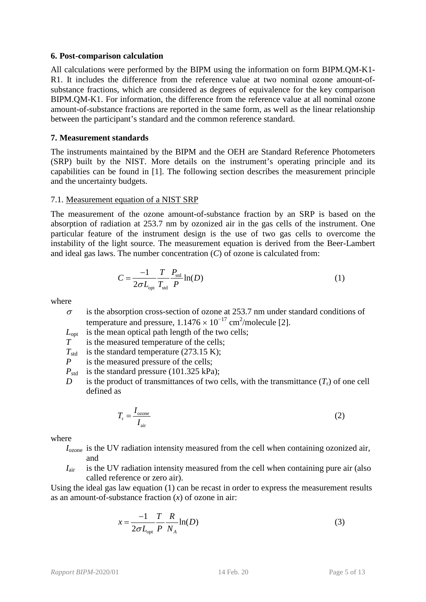#### **6. Post-comparison calculation**

All calculations were performed by the BIPM using the information on form [BIPM.QM-K1-](#page-3-0) [R1.](#page-3-0) It includes the difference from the reference value at two nominal ozone amount-ofsubstance fractions, which are considered as degrees of equivalence for the key comparison BIPM.QM-K1. For information, the difference from the reference value at all nominal ozone amount-of-substance fractions are reported in the same form, as well as the linear relationship between the participant's standard and the common reference standard.

#### <span id="page-4-0"></span>**7. Measurement standards**

The instruments maintained by the BIPM and the [OEH](#page-0-0) are Standard Reference Photometers (SRP) built by the NIST. More details on the instrument's operating principle and its capabilities can be found in [1]. The following section describes the measurement principle and the uncertainty budgets.

#### 7.1. Measurement equation of a NIST SRP

The measurement of the ozone amount-of-substance fraction by an SRP is based on the absorption of radiation at 253.7 nm by ozonized air in the gas cells of the instrument. One particular feature of the instrument design is the use of two gas cells to overcome the instability of the light source. The measurement equation is derived from the Beer-Lambert and ideal gas laws. The number concentration (*C*) of ozone is calculated from:

$$
C = \frac{-1}{2\sigma L_{\text{opt}}} \frac{T}{T_{\text{std}}} \frac{P_{\text{std}}}{P} \ln(D) \tag{1}
$$

where

 $\sigma$  is the absorption cross-section of ozone at 253.7 nm under standard conditions of temperature and pressure,  $1.1476 \times 10^{-17}$  cm<sup>2</sup>/molecule [2].

 $L_{opt}$  is the mean optical path length of the two cells;<br> $T_{net}$  is the measured temperature of the cells;

- is the measured temperature of the cells;
- $T_{\text{std}}$  is the standard temperature (273.15 K);<br>  $P$  is the measured pressure of the cells;
- *is the measured pressure of the cells;*
- $P_{\text{std}}$  is the standard pressure (101.325 kPa);
- *D* is the product of transmittances of two cells, with the transmittance  $(T_r)$  of one cell defined as

$$
T_{\rm r} = \frac{I_{\rm ozone}}{I_{\rm air}}\tag{2}
$$

where

- *I*<sub>ozone</sub> is the UV radiation intensity measured from the cell when containing ozonized air, and
- *I*<sub>air</sub> is the UV radiation intensity measured from the cell when containing pure air (also called reference or zero air).

Using the ideal gas law equation (1) can be recast in order to express the measurement results as an amount-of-substance fraction (*x*) of ozone in air:

$$
x = \frac{-1}{2\sigma L_{\text{opt}}} \frac{T}{P} \frac{R}{N_A} \ln(D) \tag{3}
$$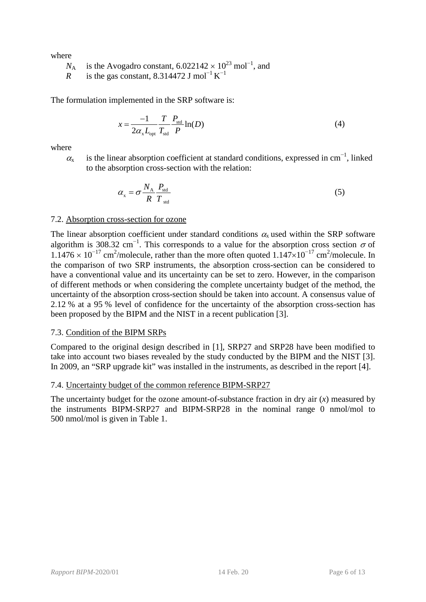where

 $N_A$  is the Avogadro constant, 6.022142 × 10<sup>23</sup> mol<sup>-1</sup>, and

*R* is the gas constant, 8.314472 J mol<sup>-1</sup> K<sup>-1</sup>

The formulation implemented in the SRP software is:

$$
x = \frac{-1}{2\alpha_x L_{\text{opt}}} \frac{T}{T_{\text{std}}} \frac{P_{\text{std}}}{P} \ln(D) \tag{4}
$$

where

 $\alpha_{x}$  is the linear absorption coefficient at standard conditions, expressed in cm<sup>-1</sup>, linked to the absorption cross-section with the relation:

$$
\alpha_{\rm x} = \sigma \frac{N_{\rm A}}{R} \frac{P_{\rm std}}{T_{\rm std}} \tag{5}
$$

#### 7.2. Absorption cross-section for ozone

The linear absorption coefficient under standard conditions  $\alpha_{x}$  used within the SRP software algorithm is 308.32 cm<sup>-1</sup>. This corresponds to a value for the absorption cross section  $\sigma$  of  $1.1476 \times 10^{-17}$  cm<sup>2</sup>/molecule, rather than the more often quoted  $1.147 \times 10^{-17}$  cm<sup>2</sup>/molecule. In the comparison of two SRP instruments, the absorption cross-section can be considered to have a conventional value and its uncertainty can be set to zero. However, in the comparison of different methods or when considering the complete uncertainty budget of the method, the uncertainty of the absorption cross-section should be taken into account. A consensus value of 2.12 % at a 95 % level of confidence for the uncertainty of the absorption cross-section has been proposed by the BIPM and the NIST in a recent publication [3].

#### 7.3. Condition of the BIPM SRPs

Compared to the original design described in [1], SRP27 and SRP28 have been modified to take into account two biases revealed by the study conducted by the BIPM and the NIST [3]. In 2009, an "SRP upgrade kit" was installed in the instruments, as described in the report [4].

#### 7.4. Uncertainty budget of the common reference BIPM-SRP27

The uncertainty budget for the ozone amount-of-substance fraction in dry air (*x*) measured by the instruments BIPM-SRP27 and BIPM-SRP28 in the nominal range 0 nmol/mol to 500 nmol/mol is given in [Table 1.](#page-6-0)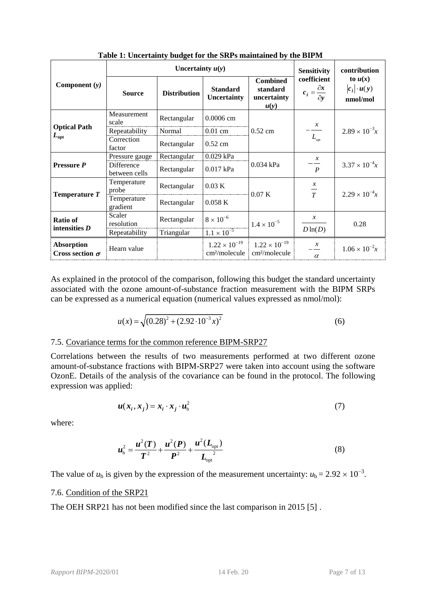<span id="page-6-0"></span>

|                                             |                             | Uncertainty $u(y)$               | <b>Sensitivity</b>                                  | contribution                                        |                                                      |                                             |
|---------------------------------------------|-----------------------------|----------------------------------|-----------------------------------------------------|-----------------------------------------------------|------------------------------------------------------|---------------------------------------------|
| Component $(y)$                             | <b>Source</b>               | <b>Distribution</b>              | <b>Standard</b><br><b>Uncertainty</b>               | <b>Combined</b><br>standard<br>uncertainty<br>u(y)  | coefficient<br>$c_i = \frac{\partial x}{\partial y}$ | to $u(x)$<br>$ c_i  \cdot u(y)$<br>nmol/mol |
|                                             | Measurement<br>scale        | Rectangular                      | 0.0006 cm                                           |                                                     | $\mathcal{X}$                                        |                                             |
| <b>Optical Path</b>                         | Repeatability               | $0.52$ cm<br>Normal<br>$0.01$ cm |                                                     |                                                     | $2.89 \times 10^{-3}x$                               |                                             |
| $L_{\mathrm{opt}}$                          | Correction<br>factor        | Rectangular                      | $0.52$ cm                                           |                                                     | $L_{\text{opt}}$                                     |                                             |
| <b>Pressure P</b>                           | Pressure gauge              | Rectangular                      | 0.029 kPa                                           |                                                     | $\mathcal{X}$                                        |                                             |
|                                             | Difference<br>between cells | Rectangular                      | 0.017 kPa                                           | 0.034 kPa                                           | $\boldsymbol{P}$                                     | $3.37 \times 10^{-4}x$                      |
| Temperature $T$                             | Temperature<br>probe        | Rectangular                      | $0.03\text{ K}$                                     | 0.07K                                               | $\mathcal{X}$<br>$\frac{1}{T}$                       | $2.29 \times 10^{-4}x$                      |
|                                             | Temperature<br>gradient     | Rectangular                      | 0.058K                                              |                                                     |                                                      |                                             |
| Ratio of<br>intensities $D$                 | Scaler<br>resolution        | Rectangular                      | $8 \times 10^{-6}$                                  | $1.4 \times 10^{-5}$                                | $\mathcal{X}$                                        | 0.28                                        |
|                                             | Repeatability               | Triangular                       | $1.1 \times 10^{-5}$                                |                                                     | $D\ln(D)$                                            |                                             |
| <b>Absorption</b><br>Cross section $\sigma$ | Hearn value                 |                                  | $1.22 \times 10^{-19}$<br>cm <sup>2</sup> /molecule | $1.22 \times 10^{-19}$<br>cm <sup>2</sup> /molecule | $\mathcal{X}$<br>$\alpha$                            | $1.06 \times 10^{-2}x$                      |

**Table 1: Uncertainty budget for the SRPs maintained by the BIPM**

As explained in the protocol of the comparison, following this budget the standard uncertainty associated with the ozone amount-of-substance fraction measurement with the BIPM SRPs can be expressed as a numerical equation (numerical values expressed as nmol/mol):

$$
u(x) = \sqrt{(0.28)^2 + (2.92 \cdot 10^{-3} x)^2}
$$
 (6)

#### 7.5. Covariance terms for the common reference BIPM-SRP27

Correlations between the results of two measurements performed at two different ozone amount-of-substance fractions with BIPM-SRP27 were taken into account using the software OzonE. Details of the analysis of the covariance can be found in the protocol. The following expression was applied:

$$
u(x_i, x_j) = x_i \cdot x_j \cdot u_b^2 \tag{7}
$$

where:

$$
u_{\rm b}^2 = \frac{u^2(T)}{T^2} + \frac{u^2(P)}{P^2} + \frac{u^2(L_{\rm opt})}{L_{\rm opt}^2}
$$
 (8)

The value of  $u<sub>b</sub>$  is given by the expression of the measurement uncertainty:  $u<sub>b</sub> = 2.92 \times 10^{-3}$ .

#### 7.6. Condition of the [SRP21](#page-2-1)

The OEH [SRP21](#page-2-1) has not been modified since the last comparison in 2015 [5] .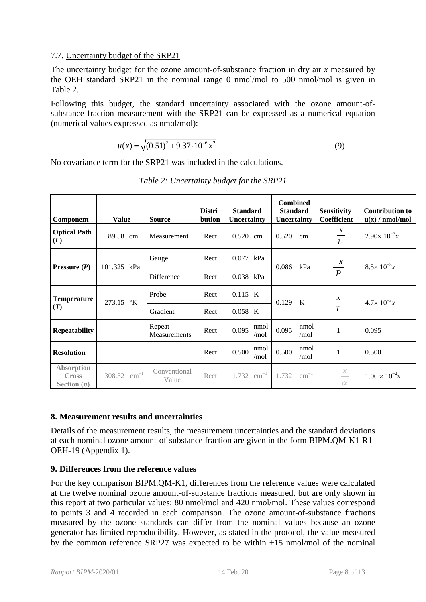#### 7.7. Uncertainty budget of the [SRP21](#page-2-1)

The uncertainty budget for the ozone amount-of-substance fraction in dry air *x* measured by the [OEH](#page-0-0) standard [SRP21](#page-2-1) in the nominal range 0 nmol/mol to 500 nmol/mol is given in [Table](#page-7-2) 2.

Following this budget, the standard uncertainty associated with the ozone amount-ofsubstance fraction measurement with the [SRP21](#page-2-1) can be expressed as a numerical equation (numerical values expressed as nmol/mol):

$$
u(x) = \sqrt{(0.51)^2 + 9.37 \cdot 10^{-6} x^2}
$$
 (9)

<span id="page-7-2"></span>No covariance term for the [SRP21](#page-2-1) was included in the calculations.

| Component                                          | <b>Value</b>               | <b>Source</b>          | <b>Distri</b><br>bution | <b>Standard</b><br>Uncertainty | <b>Combined</b><br><b>Standard</b><br>Uncertainty | <b>Sensitivity</b><br><b>Coefficient</b>              | <b>Contribution to</b><br>u(x) / nmol/mol |
|----------------------------------------------------|----------------------------|------------------------|-------------------------|--------------------------------|---------------------------------------------------|-------------------------------------------------------|-------------------------------------------|
| <b>Optical Path</b><br>(L)                         | 89.58 cm                   | Measurement            | Rect                    | $0.520$ cm                     | 0.520<br>cm                                       | $\mathcal{X}$<br>L                                    | $2.90 \times 10^{-3}x$                    |
| <b>Pressure</b> $(P)$                              | 101.325 kPa                | Gauge                  | Rect                    | 0.077 kPa                      | 0.086<br>kPa                                      | $\frac{-x}{P}$                                        | $8.5 \times 10^{-3}x$                     |
|                                                    |                            | Difference             | Rect                    | 0.038 kPa                      |                                                   |                                                       |                                           |
| <b>Temperature</b><br>(T)                          | 273.15 °K                  | Probe                  | Rect                    | $0.115$ K                      | 0.129<br>$\mathbf{K}$                             | $rac{x}{T}$                                           | $4.7 \times 10^{-3}x$                     |
|                                                    |                            | Gradient               | Rect                    | $0.058$ K                      |                                                   |                                                       |                                           |
| <b>Repeatability</b>                               |                            | Repeat<br>Measurements | Rect                    | nmol<br>0.095<br>/mol          | nmol<br>0.095<br>/mol                             | 1                                                     | 0.095                                     |
| <b>Resolution</b>                                  |                            |                        | Rect                    | nmol<br>0.500<br>/mol          | nmol<br>0.500<br>/mol                             | 1                                                     | 0.500                                     |
| <b>Absorption</b><br><b>Cross</b><br>Section $(a)$ | $\text{cm}^{-1}$<br>308.32 | Conventional<br>Value  | Rect                    | $1.732$ cm <sup>-1</sup>       | $\text{cm}^{-1}$<br>1.732                         | $\mathcal{X}$<br>$\overline{\phantom{0}}$<br>$\alpha$ | $1.06 \times 10^{-2}x$                    |

*Table 2: Uncertainty budget for the [SRP21](#page-2-1)*

## <span id="page-7-0"></span>**8. Measurement results and uncertainties**

Details of the measurement results, the measurement uncertainties and the standard deviations at each nominal ozone amount-of-substance fraction are given in the form [BIPM.QM-K1-R1-](#page-3-1) [OEH-19](#page-3-1) (Appendix 1).

## <span id="page-7-1"></span>**9. Differences from the reference values**

For the key comparison BIPM.QM-K1, differences from the reference values were calculated at the twelve nominal ozone amount-of-substance fractions measured, but are only shown in this report at two particular values: 80 nmol/mol and 420 nmol/mol. These values correspond to points 3 and 4 recorded in each comparison. The ozone amount-of-substance fractions measured by the ozone standards can differ from the nominal values because an ozone generator has limited reproducibility. However, as stated in the protocol, the value measured by the common reference SRP27 was expected to be within ±15 nmol/mol of the nominal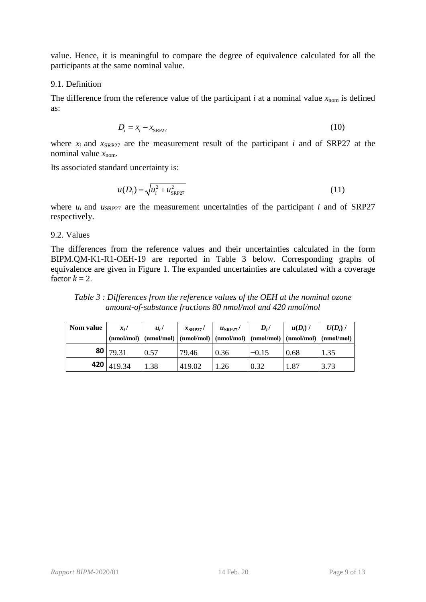value. Hence, it is meaningful to compare the degree of equivalence calculated for all the participants at the same nominal value.

#### 9.1. Definition

The difference from the reference value of the participant *i* at a nominal value  $x_{\text{nom}}$  is defined as:

$$
D_i = x_i - x_{\text{SRP27}} \tag{10}
$$

where  $x_i$  and  $x_{SRP27}$  are the measurement result of the participant *i* and of SRP27 at the nominal value  $x_{\text{nom}}$ .

Its associated standard uncertainty is:

$$
u(D_i) = \sqrt{u_i^2 + u_{SRP27}^2}
$$
 (11)

where  $u_i$  and  $u_{SRP27}$  are the measurement uncertainties of the participant *i* and of SRP27 respectively.

#### 9.2. Values

The differences from the reference values and their uncertainties calculated in the form [BIPM.QM-K1-R1-OEH-19](#page-3-1) are reported in [Table 3](#page-8-0) below. Corresponding graphs of equivalence are given in [Figure 1.](#page-9-1) The expanded uncertainties are calculated with a coverage factor  $k = 2$ .

<span id="page-8-0"></span>*Table 3 : Differences from the reference values of the [OEH](#page-0-0) at the nominal ozone amount-of-substance fractions 80 nmol/mol and 420 nmol/mol*

| Nom value | $x_i$ /<br>(mmol/mol) | $u_i$ | $x_{\text{SRP27}}$ / | $u_{\text{SRP27}}$ / | $D_i/$  | $u(D_i)$ | $U(D_i)$ /<br>$\pmod{\mod}$ (nmol/mol) $\pmod{\mod}$ (nmol/mol) $\pmod{\mod}$ (nmol/mol) $\pmod{\mod}$ |
|-----------|-----------------------|-------|----------------------|----------------------|---------|----------|--------------------------------------------------------------------------------------------------------|
|           | 80   $79.31$          | 0.57  | 79.46                | 0.36                 | $-0.15$ | 0.68     | 1.35                                                                                                   |
|           | 420 $ 419.34$         | 1.38  | 419.02               | 1.26                 | 0.32    | 1.87     | 3.73                                                                                                   |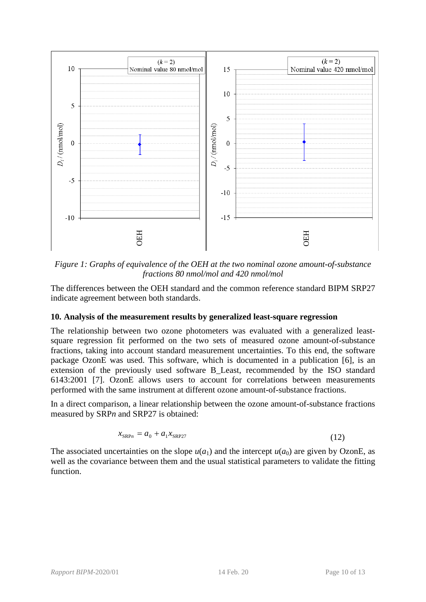

<span id="page-9-1"></span>*Figure 1: Graphs of equivalence of the [OEH](#page-0-0) at the two nominal ozone amount-of-substance fractions 80 nmol/mol and 420 nmol/mol* 

The differences between the OEH standard and the common reference standard BIPM SRP27 indicate agreement between both standards.

#### <span id="page-9-0"></span>**10. Analysis of the measurement results by generalized least-square regression**

The relationship between two ozone photometers was evaluated with a generalized leastsquare regression fit performed on the two sets of measured ozone amount-of-substance fractions, taking into account standard measurement uncertainties. To this end, the software package OzonE was used. This software, which is documented in a publication [6], is an extension of the previously used software B\_Least, recommended by the ISO standard 6143:2001 [7]. OzonE allows users to account for correlations between measurements performed with the same instrument at different ozone amount-of-substance fractions. of equivalence of the<br>fractions 80<br>ween the OEH stand<br>between both standa<br>**measurement resu**<br>etween two ozone<br>fit performed on the<br>to account standard<br>as used. This softw<br>previously used sof<br>conE allows users<br>same instrum

In a direct comparison, a linear relationship between the ozone amount-of-substance fractions measured by SRP*n* and SRP27 is obtained:

$$
x_{\text{SRP}n} = a_0 + a_1 x_{\text{SRP}27} \tag{12}
$$

The associated uncertainties on the slope  $u(a_1)$  and the intercept  $u(a_0)$  are given by OzonE, as well as the covariance between them and the usual statistical parameters to validate the fitting function.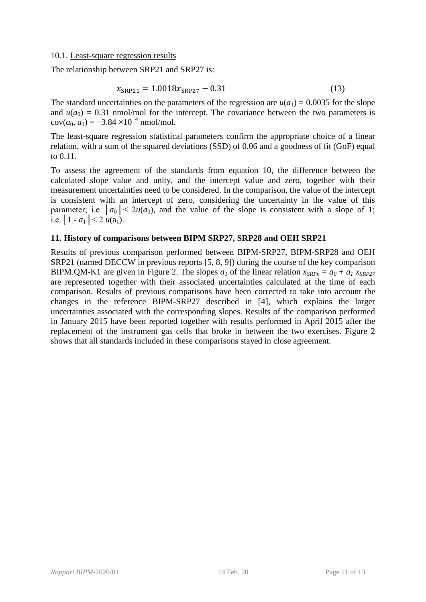#### 10.1. Least-square regression results

The relationship between [SRP21](#page-2-1) and SRP27 is:

$$
x_{\rm SRP21} = 1.0018x_{\rm SRP27} - 0.31\tag{13}
$$

The standard uncertainties on the parameters of the regression are  $u(a_1) = 0.0035$  for the slope and  $u(a_0) = 0.31$  nmol/mol for the intercept. The covariance between the two parameters is  $cov(a_0, a_1) = -3.84 \times 10^{-4}$  nmol/mol.

The least-square regression statistical parameters confirm the appropriate choice of a linear relation, with a sum of the squared deviations (SSD) of 0.06 and a goodness of fit (GoF) equal to 0.11.

To assess the agreement of the standards from equation 10, the difference between the calculated slope value and unity, and the intercept value and zero, together with their measurement uncertainties need to be considered. In the comparison, the value of the intercept is consistent with an intercept of zero, considering the uncertainty in the value of this parameter; i.e  $|a_0| < 2u(a_0)$ , and the value of the slope is consistent with a slope of 1; i.e.  $|1 - a_1| < 2 u(a_1)$ .

#### **11. History of comparisons between BIPM SRP27, SRP28 and OEH [SRP21](#page-2-1)**

Results of previous comparison performed between BIPM-SRP27, BIPM-SRP28 and [OEH](#page-0-0) [SRP21](#page-2-1) (named DECCW in previous reports [5, 8, 9]) during the course of the key comparison BIPM.QM-K1 are given in [Figure 2.](#page-11-0) The slopes  $a_1$  of the linear relation  $x_{SRPn} = a_0 + a_1 x_{SRP27}$ are represented together with their associated uncertainties calculated at the time of each comparison. Results of previous comparisons have been corrected to take into account the changes in the reference BIPM-SRP27 described in [4], which explains the larger uncertainties associated with the corresponding slopes. Results of the comparison performed in January 2015 have been reported together with results performed in April 2015 after the replacement of the instrument gas cells that broke in between the two exercises. [Figure 2](#page-11-0) shows that all standards included in these comparisons stayed in close agreement.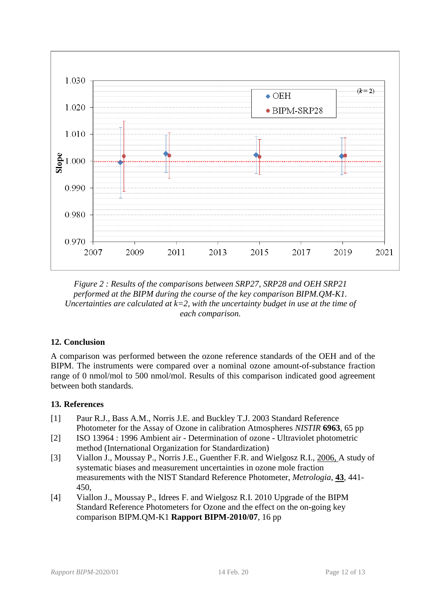

<span id="page-11-0"></span>*Figure 2 : Results of the comparisons between SRP27, SRP28 and [OEH](#page-0-0) [SRP21](#page-2-1) performed at the BIPM during the course of the key comparison BIPM.QM-K1. Uncertainties are calculated at k=2, with the uncertainty budget in use at the time of each comparison.* 

## **12. Conclusion**

A comparison was performed between the ozone reference standards of the OEH and of the BIPM. The instruments were compared over a nominal ozone amount-of-substance fraction range of 0 nmol/mol to 500 nmol/mol. Results of this comparison indicated good agreement between both standards.

#### **13. References**

- [1] Paur R.J., Bass A.M., Norris J.E. and Buckley T.J. 2003 Standard Reference Photometer for the Assay of Ozone in calibration Atmospheres *NISTIR* **6963**, 65 pp
- [2] ISO 13964 : 1996 Ambient air Determination of ozone Ultraviolet photometric method (International Organization for Standardization)
- [3] Viallon J., Moussay P., Norris J.E., Guenther F.R. and Wielgosz R.I., 2006, A study of systematic biases and measurement uncertainties in ozone mole fraction measurements with the NIST Standard Reference Photometer, *Metrologia*, **43**, 441- 450,
- [4] Viallon J., Moussay P., Idrees F. and Wielgosz R.I. 2010 Upgrade of the BIPM Standard Reference Photometers for Ozone and the effect on the on-going key comparison BIPM.QM-K1 **Rapport BIPM-2010/07**, 16 pp